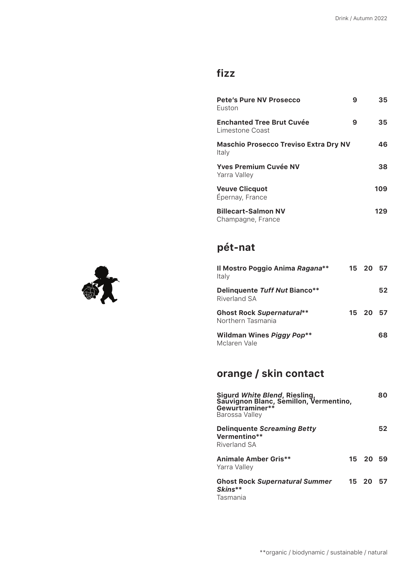## **fizz**

| <b>Pete's Pure NV Prosecco</b><br>Fuston              | 9 | 35  |  |  |
|-------------------------------------------------------|---|-----|--|--|
| <b>Enchanted Tree Brut Cuvée</b><br>Limestone Coast   | 9 | 35  |  |  |
| <b>Maschio Prosecco Treviso Extra Dry NV</b><br>Italy |   | 46  |  |  |
| Yves Premium Cuvée NV<br>Yarra Valley                 |   | 38  |  |  |
| <b>Veuve Clicquot</b><br>Épernay, France              |   |     |  |  |
| <b>Billecart-Salmon NV</b><br>Champagne, France       |   | 129 |  |  |

## **pét-nat**

| Il Mostro Poggio Anima Ragana**<br>Italy              | 15 20 57 |    |
|-------------------------------------------------------|----------|----|
| <b>Delinquente Tuff Nut Bianco**</b><br>Riverland SA  |          | 52 |
| <b>Ghost Rock Supernatural**</b><br>Northern Tasmania | 15 20 57 |    |
| <b>Wildman Wines Piggy Pop**</b><br>Mclaren Vale      |          | 68 |

## **orange / skin contact**

| Sigurd White Blend, Riesling,<br>Sauvignon Blanc, Semillon, Vermentino,<br>Gewurtraminer**<br>Barossa Valley |       |          |    |  |
|--------------------------------------------------------------------------------------------------------------|-------|----------|----|--|
| <b>Delinquente Screaming Betty</b><br>Vermentino**<br>Riverland SA                                           |       |          |    |  |
| Animale Amber Gris**<br>Yarra Valley                                                                         |       | 15 20 59 |    |  |
| <b>Ghost Rock Supernatural Summer</b><br>Skins**<br>Tasmania                                                 | 15 20 |          | 57 |  |

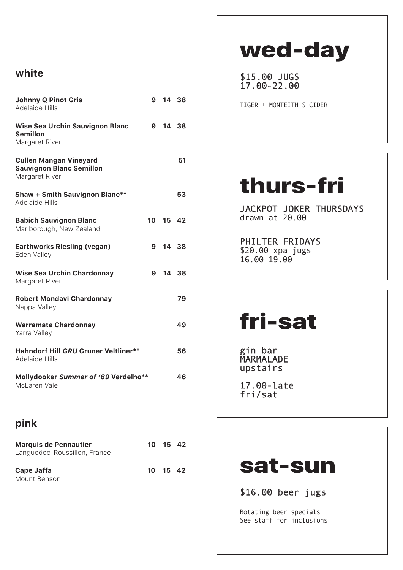### **white**

| <b>Johnny Q Pinot Gris</b><br>Adelaide Hills                                       | 9 |          | 14 38 |  |
|------------------------------------------------------------------------------------|---|----------|-------|--|
| <b>Wise Sea Urchin Sauvignon Blanc</b><br><b>Semillon</b><br>Margaret River        | 9 |          | 14 38 |  |
| <b>Cullen Mangan Vineyard</b><br><b>Sauvignon Blanc Semillon</b><br>Margaret River |   |          | 51    |  |
| <b>Shaw + Smith Sauvignon Blanc**</b><br><b>Adelaide Hills</b>                     |   |          | 53    |  |
| <b>Babich Sauvignon Blanc</b><br>Marlborough, New Zealand                          |   | 10 15 42 |       |  |
| <b>Earthworks Riesling (vegan)</b><br>Eden Valley                                  |   | 9 14 38  |       |  |
| <b>Wise Sea Urchin Chardonnay</b><br>Margaret River                                |   | 9 14 38  |       |  |
| <b>Robert Mondavi Chardonnay</b><br>Nappa Valley                                   |   |          | 79    |  |
| <b>Warramate Chardonnay</b><br>Yarra Valley                                        |   |          | 49    |  |
| <b>Hahndorf Hill GRU Gruner Veltliner**</b><br><b>Adelaide Hills</b>               |   |          |       |  |
| Mollydooker Summer of '69 Verdelho**<br>McLaren Vale                               |   |          |       |  |

### **pink**

| <b>Marquis de Pennautier</b><br>Languedoc-Roussillon, France |          | 10 15 42 |  |
|--------------------------------------------------------------|----------|----------|--|
| Cape Jaffa<br>Mount Benson                                   | 10 15 42 |          |  |

# wed-day

\$15.00 JUGS 17.00-22.00

TIGER + MONTEITH'S CIDER

# thurs-fri

JACKPOT JOKER THURSDAYS drawn at 20.00

PHILTER FRIDAYS \$20.00 xpa jugs 16.00-19.00

# fri-sat

gin bar MARMALADE upstairs

17.00-late fri/sat

## sat-sun

\$16.00 beer jugs

Rotating beer specials See staff for inclusions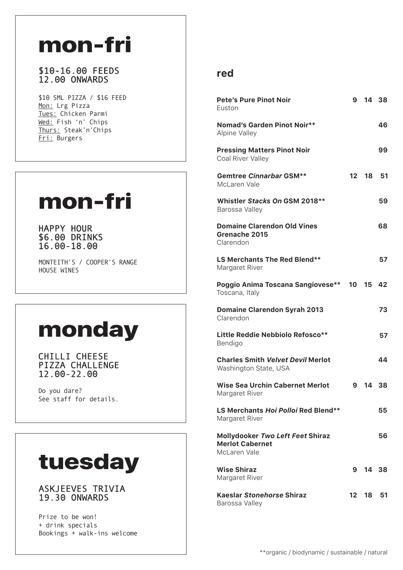# mon-fri

#### \$10-16.00 FEEDS 12.00 ONWARDS

\$10 SML PIZZA / \$16 FEED Mon: Lrg Pizza Tues: Chicken Parmi Wed: Fish 'n' Chips Thurs: Steak'n'Chips Fri: Burgers

# mon-fri

HAPPY HOUR \$6.00 DRINKS 16.00-18.00

MONTEITH'S / COOPER'S RANGE HOUSE WINES

# monday

CHILLI CHEESE<br>PIZZA CHALLENGE 12.00-22.00

Do you dare? See staff for details.

# tuesday

#### **ASKJEEVES TRIVIA 19.30 ONWARDS**

Prize to be won! + drink specials Bookings + walk-ins welcome

### **red**

| <b>Pete's Pure Pinot Noir</b><br>Euston                                    | 9  |          | 14 38 |
|----------------------------------------------------------------------------|----|----------|-------|
| <b>Nomad's Garden Pinot Noir**</b><br>Alpine Valley                        |    |          | 46    |
| <b>Pressing Matters Pinot Noir</b><br>Coal River Valley                    |    |          | 99    |
| <b>Gemtree Cinnarbar GSM**</b><br>McLaren Vale                             |    | 12 18    | 51    |
| Whistler Stacks On GSM 2018**<br>Barossa Valley                            |    |          | 59    |
| <b>Domaine Clarendon Old Vines</b><br>Grenache 2015<br>Clarendon           |    |          | 68    |
| <b>LS Merchants The Red Blend**</b><br>Margaret River                      |    |          | 57    |
| Poggio Anima Toscana Sangiovese**<br>Toscana, Italy                        |    | 10 15 42 |       |
| <b>Domaine Clarendon Syrah 2013</b><br>Clarendon                           |    |          | 73    |
| Little Reddie Nebbiolo Refosco**<br>Bendigo                                |    |          | 57    |
| <b>Charles Smith Velvet Devil Merlot</b><br>Washington State, USA          |    |          | 44    |
| <b>Wise Sea Urchin Cabernet Merlot</b><br>Margaret River                   | 9  |          | 14 38 |
| <b>LS Merchants Hoi Polloi Red Blend**</b><br>Margaret River               |    |          | 55    |
| Mollydooker Two Left Feet Shiraz<br><b>Merlot Cabernet</b><br>McLaren Vale |    |          | 56    |
| <b>Wise Shiraz</b><br>Margaret River                                       | 9  |          | 14 38 |
| <b>Kaeslar Stonehorse Shiraz</b><br>Barossa Valley                         | 12 | 18.      | 51    |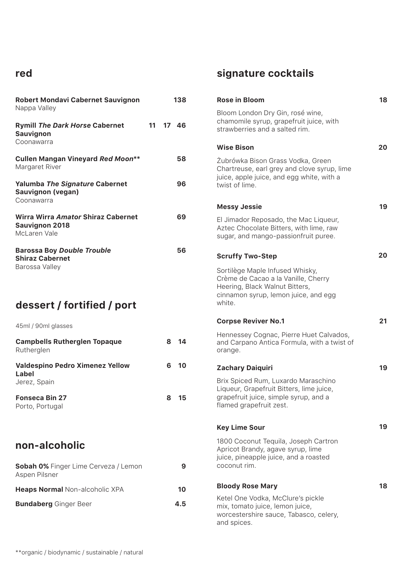### **red**

| Robert Mondavi Cabernet Sauvignon                                               |   | 138      | <b>Rose in Bloom</b>                                                                                                                             | 18 |
|---------------------------------------------------------------------------------|---|----------|--------------------------------------------------------------------------------------------------------------------------------------------------|----|
| Nappa Valley                                                                    |   |          | Bloom London Dry Gin, rosé wine,<br>chamomile syrup, grapefruit juice, with                                                                      |    |
| <b>Rymill The Dark Horse Cabernet</b><br>Sauvignon<br>Coonawarra                |   | 11 17 46 | strawberries and a salted rim.                                                                                                                   |    |
|                                                                                 |   |          | <b>Wise Bison</b>                                                                                                                                | 20 |
| <b>Cullen Mangan Vineyard Red Moon**</b><br>Margaret River                      |   | 58       | Żubrówka Bison Grass Vodka, Green<br>Chartreuse, earl grey and clove syrup, lime<br>juice, apple juice, and egg white, with a                    |    |
| <b>Yalumba The Signature Cabernet</b><br><b>Sauvignon (vegan)</b><br>Coonawarra |   | 96       | twist of lime.                                                                                                                                   |    |
|                                                                                 |   |          | <b>Messy Jessie</b>                                                                                                                              | 19 |
| Wirra Wirra Amator Shiraz Cabernet<br><b>Sauvignon 2018</b><br>McLaren Vale     |   | 69       | El Jimador Reposado, the Mac Liqueur,<br>Aztec Chocolate Bitters, with lime, raw<br>sugar, and mango-passionfruit puree.                         |    |
| <b>Barossa Boy Double Trouble</b><br><b>Shiraz Cabernet</b>                     |   | 56       | <b>Scruffy Two-Step</b>                                                                                                                          | 20 |
| Barossa Valley                                                                  |   |          | Sortilège Maple Infused Whisky,<br>Crème de Cacao a la Vanille, Cherry<br>Heering, Black Walnut Bitters,<br>cinnamon syrup, lemon juice, and egg |    |
| dessert / fortified / port                                                      |   |          | white.                                                                                                                                           |    |
| 45ml / 90ml glasses                                                             |   |          | <b>Corpse Reviver No.1</b>                                                                                                                       | 21 |
| <b>Campbells Rutherglen Topaque</b><br>Rutherglen                               | 8 | - 14     | Hennessey Cognac, Pierre Huet Calvados,<br>and Carpano Antica Formula, with a twist of<br>orange.                                                |    |
| Valdespino Pedro Ximenez Yellow<br>Label                                        | 6 | 10       | <b>Zachary Daiquiri</b>                                                                                                                          | 19 |
| Jerez, Spain                                                                    |   |          | Brix Spiced Rum, Luxardo Maraschino<br>Liqueur, Grapefruit Bitters, lime juice,                                                                  |    |
| <b>Fonseca Bin 27</b><br>Porto, Portugal                                        | 8 | 15       | grapefruit juice, simple syrup, and a<br>flamed grapefruit zest.                                                                                 |    |
|                                                                                 |   |          | <b>Key Lime Sour</b>                                                                                                                             | 19 |
| non-alcoholic                                                                   |   |          | 1800 Coconut Tequila, Joseph Cartron<br>Apricot Brandy, agave syrup, lime<br>juice, pineapple juice, and a roasted                               |    |
| Sobah 0% Finger Lime Cerveza / Lemon<br>Aspen Pilsner                           |   | 9        | coconut rim.                                                                                                                                     |    |
| Heaps Normal Non-alcoholic XPA                                                  |   | 10       | <b>Bloody Rose Mary</b>                                                                                                                          | 18 |
|                                                                                 |   |          | Ketel One Vodka, McClure's pickle                                                                                                                |    |

## **signature cocktails**

mix, tomato juice, lemon juice,

and spices.

worcestershire sauce, Tabasco, celery,

**18**

**19**

**Bundaberg** Ginger Beer **4.5**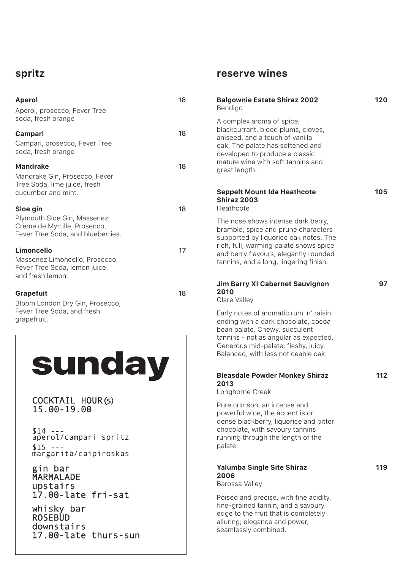### **spritz**

### **Aperol** 18 Aperol, prosecco, Fever Tree soda, fresh orange **Campari** 18 Campari, prosecco, Fever Tree soda, fresh orange **Mandrake** 18 Mandrake Gin, Prosecco, Fever Tree Soda, lime juice, fresh cucumber and mint. **Sloe gin** 18 Plymouth Sloe Gin, Massenez Crème de Myrtille, Prosecco, Fever Tree Soda, and blueberries. **Limoncello** 17Massenez Limoncello, Prosecco, Fever Tree Soda, lemon juice, and fresh lemon. Grapefuit 18 Bloom London Dry Gin, Prosecco, Fever Tree Soda, and fresh grapefruit. sunday COCKTAIL HOUR(S) 15.00-19.00  $$14 -$ aperol/campari spritz  $$15 -$ margarita/caipiroskas gin bar MARMALADE upstairs 17.00-late fri-sat whisky bar **ROSEBUD** downstairs 17.00-late thurs-sun

### **reserve wines**

| <b>Balgownie Estate Shiraz 2002</b><br>Bendigo                                                                                                                                                                                                  | 120 |
|-------------------------------------------------------------------------------------------------------------------------------------------------------------------------------------------------------------------------------------------------|-----|
| A complex aroma of spice,<br>blackcurrant, blood plums, cloves,<br>aniseed, and a touch of vanilla<br>oak. The palate has softened and<br>developed to produce a classic<br>mature wine with soft tannins and<br>great length.                  |     |
| <b>Seppelt Mount Ida Heathcote</b><br><b>Shiraz 2003</b><br>Heathcote                                                                                                                                                                           | 105 |
| The nose shows intense dark berry,<br>bramble, spice and prune characters<br>supported by liquorice oak notes. The<br>rich, full, warming palate shows spice<br>and berry flavours, elegantly rounded<br>tannins, and a long, lingering finish. |     |
| <b>Jim Barry XI Cabernet Sauvignon</b><br>2010<br>Clare Valley                                                                                                                                                                                  | 97  |
| Early notes of aromatic rum 'n' raisin<br>ending with a dark chocolate, cocoa<br>bean palate. Chewy, succulent<br>tannins - not as angular as expected.<br>Generous mid-palate, fleshy, juicy.<br>Balanced, with less noticeable oak.           |     |
| <b>Bleasdale Powder Monkey Shiraz</b><br>2013<br>Longhorne Creek                                                                                                                                                                                | 112 |
| Pure crimson, an intense and<br>powerful wine, the accent is on<br>dense blackberry, liquorice and bitter<br>chocolate, with savoury tannins<br>running through the length of the<br>palate.                                                    |     |
| <b>Yalumba Single Site Shiraz</b><br>2006<br>Barossa Valley                                                                                                                                                                                     | 119 |
| Poised and precise, with fine acidity,<br>fine-grained tannin, and a savoury<br>edge to the fruit that is completely<br>alluring; elegance and power,                                                                                           |     |

seamlessly combined.